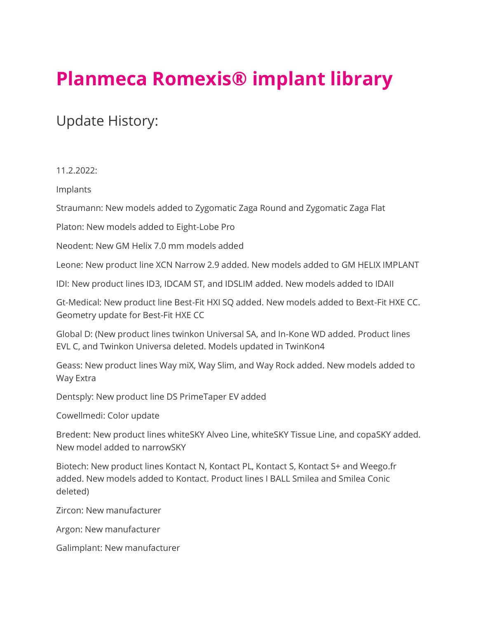## **Planmeca Romexis® implant library**

## Update History:

11.2.2022:

Implants

Straumann: New models added to Zygomatic Zaga Round and Zygomatic Zaga Flat

Platon: New models added to Eight-Lobe Pro

Neodent: New GM Helix 7.0 mm models added

Leone: New product line XCN Narrow 2.9 added. New models added to GM HELIX IMPLANT

IDI: New product lines ID3, IDCAM ST, and IDSLIM added. New models added to IDAII

Gt-Medical: New product line Best-Fit HXI SQ added. New models added to Bext-Fit HXE CC. Geometry update for Best-Fit HXE CC

Global D: (New product lines twinkon Universal SA, and In-Kone WD added. Product lines EVL C, and Twinkon Universa deleted. Models updated in TwinKon4

Geass: New product lines Way miX, Way Slim, and Way Rock added. New models added to Way Extra

Dentsply: New product line DS PrimeTaper EV added

Cowellmedi: Color update

Bredent: New product lines whiteSKY Alveo Line, whiteSKY Tissue Line, and copaSKY added. New model added to narrowSKY

Biotech: New product lines Kontact N, Kontact PL, Kontact S, Kontact S+ and Weego.fr added. New models added to Kontact. Product lines I BALL Smilea and Smilea Conic deleted)

Zircon: New manufacturer

Argon: New manufacturer

Galimplant: New manufacturer